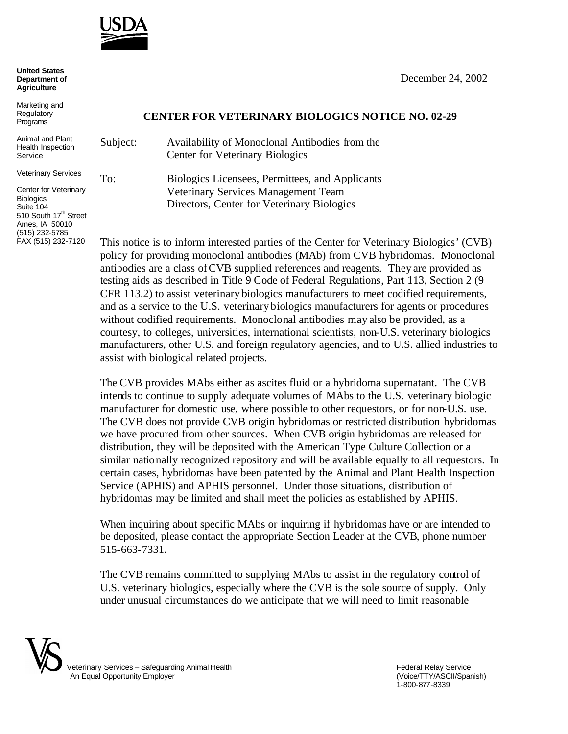

| <b>United States</b> |
|----------------------|
| Department of        |
| <b>Agriculture</b>   |

Marketing and **Regulatory** Programs

Animal and Plant Health Inspection Service

Veterinary Services

Center for Veterinary **Biologics** Suite 104 510 South 17<sup>th</sup> Street Ames, IA 50010 (515) 232-5785 FAX (515) 232-7120

## December 24, 2002

## **CENTER FOR VETERINARY BIOLOGICS NOTICE NO. 02-29**

Subject: Availability of Monoclonal Antibodies from the Center for Veterinary Biologics To: Biologics Licensees, Permittees, and Applicants Veterinary Services Management Team Directors, Center for Veterinary Biologics

This notice is to inform interested parties of the Center for Veterinary Biologics' (CVB) policy for providing monoclonal antibodies (MAb) from CVB hybridomas. Monoclonal antibodies are a class of CVB supplied references and reagents. They are provided as testing aids as described in Title 9 Code of Federal Regulations, Part 113, Section 2 (9 CFR 113.2) to assist veterinary biologics manufacturers to meet codified requirements, and as a service to the U.S. veterinary biologics manufacturers for agents or procedures without codified requirements. Monoclonal antibodies may also be provided, as a courtesy, to colleges, universities, international scientists, non-U.S. veterinary biologics manufacturers, other U.S. and foreign regulatory agencies, and to U.S. allied industries to assist with biological related projects.

The CVB provides MAbs either as ascites fluid or a hybridoma supernatant. The CVB intends to continue to supply adequate volumes of MAbs to the U.S. veterinary biologic manufacturer for domestic use, where possible to other requestors, or for non-U.S. use. The CVB does not provide CVB origin hybridomas or restricted distribution hybridomas we have procured from other sources. When CVB origin hybridomas are released for distribution, they will be deposited with the American Type Culture Collection or a similar nationally recognized repository and will be available equally to all requestors. In certain cases, hybridomas have been patented by the Animal and Plant Health Inspection Service (APHIS) and APHIS personnel. Under those situations, distribution of hybridomas may be limited and shall meet the policies as established by APHIS.

When inquiring about specific MAbs or inquiring if hybridomas have or are intended to be deposited, please contact the appropriate Section Leader at the CVB, phone number 515-663-7331.

The CVB remains committed to supplying MAbs to assist in the regulatory control of U.S. veterinary biologics, especially where the CVB is the sole source of supply. Only under unusual circumstances do we anticipate that we will need to limit reasonable



1-800-877-8339